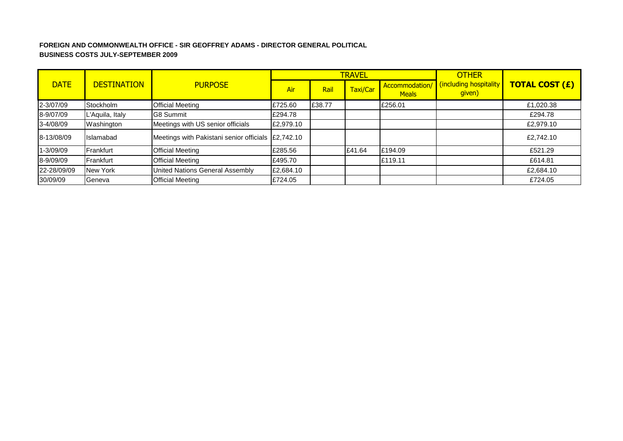## **FOREIGN AND COMMONWEALTH OFFICE - SIR GEOFFREY ADAMS - DIRECTOR GENERAL POLITICAL BUSINESS COSTS JULY-SEPTEMBER 2009**

|             |                    |                                                    |           |        | <b>TRAVEL</b> |                               | <b>OTHER</b>                     |                       |  |
|-------------|--------------------|----------------------------------------------------|-----------|--------|---------------|-------------------------------|----------------------------------|-----------------------|--|
| <b>DATE</b> | <b>DESTINATION</b> | <b>PURPOSE</b>                                     | Air       | Rail   | Taxi/Car      | Accommodation<br><b>Meals</b> | cincluding hospitality<br>given) | <b>TOTAL COST (£)</b> |  |
| 2-3/07/09   | <b>Stockholm</b>   | <b>Official Meeting</b>                            | £725.60   | £38.77 |               | £256.01                       |                                  | £1,020.38             |  |
| 8-9/07/09   | L'Aquila, Italy    | <b>G8 Summit</b>                                   | £294.78   |        |               |                               |                                  | £294.78               |  |
| 3-4/08/09   | Washington         | Meetings with US senior officials                  | £2,979.10 |        |               |                               |                                  | £2,979.10             |  |
| 8-13/08/09  | Islamabad          | Meetings with Pakistani senior officials £2,742.10 |           |        |               |                               |                                  | £2.742.10             |  |
| 1-3/09/09   | Frankfurt          | <b>Official Meeting</b>                            | £285.56   |        | £41.64        | £194.09                       |                                  | £521.29               |  |
| 8-9/09/09   | Frankfurt          | <b>Official Meeting</b>                            | £495.70   |        |               | £119.11                       |                                  | £614.81               |  |
| 22-28/09/09 | New York           | <b>United Nations General Assembly</b>             | £2,684.10 |        |               |                               |                                  | £2,684.10             |  |
| 30/09/09    | Geneva             | <b>Official Meeting</b>                            | £724.05   |        |               |                               |                                  | £724.05               |  |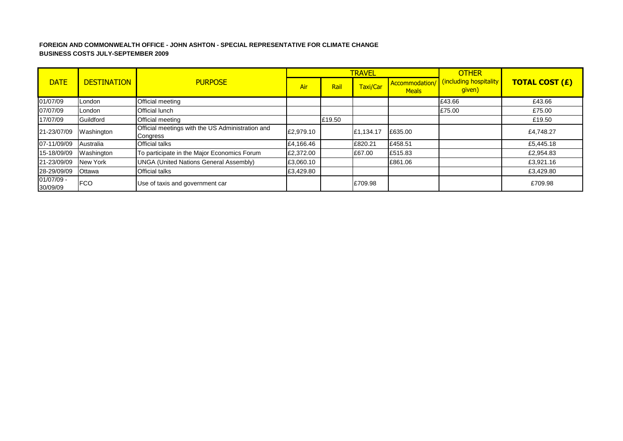#### **FOREIGN AND COMMONWEALTH OFFICE - JOHN ASHTON - SPECIAL REPRESENTATIVE FOR CLIMATE CHANGE BUSINESS COSTS JULY-SEPTEMBER 2009**

|                        |                    |                                                              |           |        | <b>TRAVEL</b> |                                | <b>OTHER</b>                     |                       |
|------------------------|--------------------|--------------------------------------------------------------|-----------|--------|---------------|--------------------------------|----------------------------------|-----------------------|
| <b>DATE</b>            | <b>DESTINATION</b> | <b>PURPOSE</b>                                               | Air       | Rail   | Taxi/Car      | Accommodation/<br><b>Meals</b> | (including hospitality<br>given) | <b>TOTAL COST (£)</b> |
| 01/07/09               | London             | Official meeting                                             |           |        |               |                                | £43.66                           | £43.66                |
| 07/07/09               | London             | Official lunch                                               |           |        |               |                                | £75.00                           | £75.00                |
| 17/07/09               | Guildford          | Official meeting                                             |           | £19.50 |               |                                |                                  | £19.50                |
| 21-23/07/09            | Washington         | Official meetings with the US Administration and<br>Congress | £2,979.10 |        | £1,134.17     | £635.00                        |                                  | £4,748.27             |
| 07-11/09/09            | Australia          | Official talks                                               | £4,166.46 |        | £820.21       | £458.51                        |                                  | £5,445.18             |
| 15-18/09/09            | Washington         | To participate in the Major Economics Forum                  | £2,372.00 |        | £67.00        | £515.83                        |                                  | £2,954.83             |
| 21-23/09/09            | New York           | <b>UNGA (United Nations General Assembly)</b>                | £3,060.10 |        |               | £861.06                        |                                  | £3,921.16             |
| 28-29/09/09            | Ottawa             | Official talks                                               | £3,429.80 |        |               |                                |                                  | £3,429.80             |
| 01/07/09 -<br>30/09/09 | <b>FCO</b>         | Use of taxis and government car                              |           |        | £709.98       |                                |                                  | £709.98               |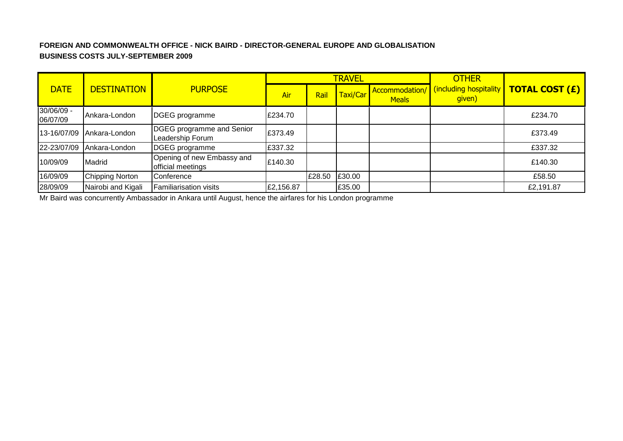# **FOREIGN AND COMMONWEALTH OFFICE - NICK BAIRD - DIRECTOR-GENERAL EUROPE AND GLOBALISATION BUSINESS COSTS JULY-SEPTEMBER 2009**

|                        |                    |                                                      |           |        | <b>TRAVEL</b> |                                | <b>OTHER</b>                     |                       |  |
|------------------------|--------------------|------------------------------------------------------|-----------|--------|---------------|--------------------------------|----------------------------------|-----------------------|--|
| <b>DATE</b>            | <b>DESTINATION</b> | <b>PURPOSE</b>                                       | Air       | Rail   | Taxi/Car      | Accommodation/<br><b>Meals</b> | (including hospitality<br>given) | <b>TOTAL COST (£)</b> |  |
| 30/06/09 -<br>06/07/09 | Ankara-London      | DGEG programme                                       | £234.70   |        |               |                                |                                  | £234.70               |  |
| 13-16/07/09            | Ankara-London      | <b>DGEG</b> programme and Senior<br>Leadership Forum | £373.49   |        |               |                                |                                  | £373.49               |  |
| 22-23/07/09            | Ankara-London      | DGEG programme                                       | £337.32   |        |               |                                |                                  | £337.32               |  |
| 10/09/09               | Madrid             | Opening of new Embassy and<br>official meetings      | £140.30   |        |               |                                |                                  | £140.30               |  |
| 16/09/09               | Chipping Norton    | Conference                                           |           | £28.50 | £30.00        |                                |                                  | £58.50                |  |
| 28/09/09               | Nairobi and Kigali | <b>Familiarisation visits</b>                        | £2,156.87 |        | £35.00        |                                |                                  | £2,191.87             |  |

Mr Baird was concurrently Ambassador in Ankara until August, hence the airfares for his London programme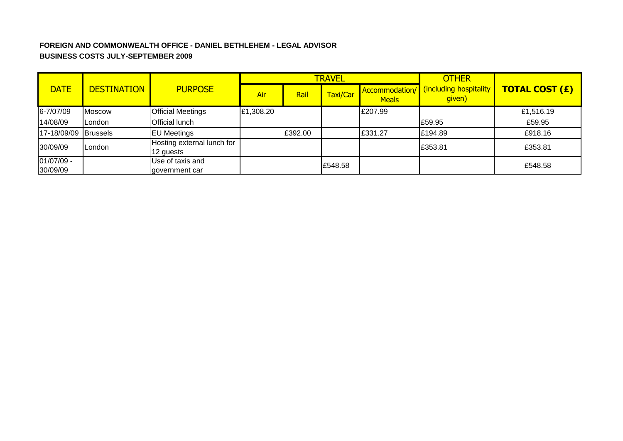# **FOREIGN AND COMMONWEALTH OFFICE - DANIEL BETHLEHEM - LEGAL ADVISOR BUSINESS COSTS JULY-SEPTEMBER 2009**

|                        |                    |                                         |           |         | <b>TRAVEL</b> |                                | <b>OTHER</b>                     |                       |  |
|------------------------|--------------------|-----------------------------------------|-----------|---------|---------------|--------------------------------|----------------------------------|-----------------------|--|
| <b>DATE</b>            | <b>DESTINATION</b> | <b>PURPOSE</b>                          | Air       | Rail    | Taxi/Car      | Accommodation/<br><b>Meals</b> | (including hospitality<br>given) | <b>TOTAL COST (£)</b> |  |
| 6-7/07/09              | <b>Moscow</b>      | <b>Official Meetings</b>                | £1,308.20 |         |               | £207.99                        |                                  | £1,516.19             |  |
| 14/08/09               | London             | Official lunch                          |           |         |               |                                | £59.95                           | £59.95                |  |
| 17-18/09/09 Brussels   |                    | <b>EU Meetings</b>                      |           | £392.00 |               | £331.27                        | £194.89                          | £918.16               |  |
| 30/09/09               | London             | Hosting external lunch for<br>12 guests |           |         |               |                                | £353.81                          | £353.81               |  |
| 01/07/09 -<br>30/09/09 |                    | Use of taxis and<br>government car      |           |         | £548.58       |                                |                                  | £548.58               |  |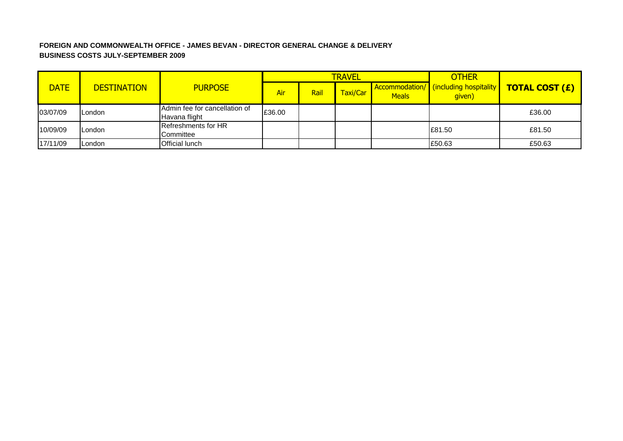## **FOREIGN AND COMMONWEALTH OFFICE - JAMES BEVAN - DIRECTOR GENERAL CHANGE & DELIVERY BUSINESS COSTS JULY-SEPTEMBER 2009**

|             |                    |                                                |        |      | <b>TRAVEL</b> |              | <b>OTHER</b>                                    |                       |
|-------------|--------------------|------------------------------------------------|--------|------|---------------|--------------|-------------------------------------------------|-----------------------|
| <b>DATE</b> | <b>DESTINATION</b> | <b>PURPOSE</b>                                 | Air    | Rail | Taxi/Car      | <b>Meals</b> | Accommodation/ (including hospitality<br>given) | <b>TOTAL COST (£)</b> |
| 03/07/09    | ILondon            | Admin fee for cancellation of<br>Havana flight | £36.00 |      |               |              |                                                 | £36.00                |
| 10/09/09    | ILondon            | <b>Refreshments for HR</b><br>Committee        |        |      |               |              | E81.50                                          | £81.50                |
| 17/11/09    | London             | <b>Official lunch</b>                          |        |      |               |              | £50.63                                          | £50.63                |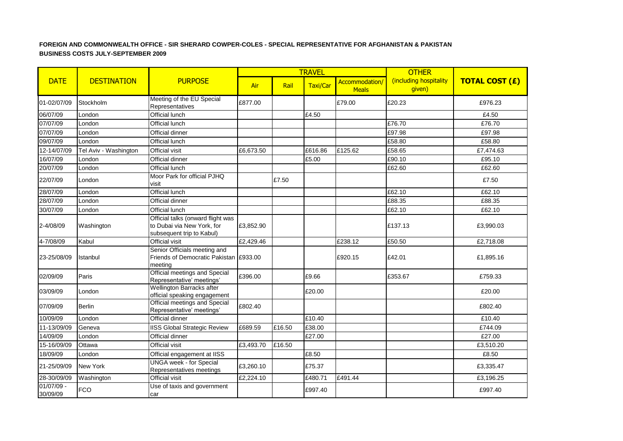#### **FOREIGN AND COMMONWEALTH OFFICE - SIR SHERARD COWPER-COLES - SPECIAL REPRESENTATIVE FOR AFGHANISTAN & PAKISTAN BUSINESS COSTS JULY-SEPTEMBER 2009**

|                          |                       |                                                                                              |           |        | <b>TRAVEL</b> |                                | <b>OTHER</b>                     |                       |
|--------------------------|-----------------------|----------------------------------------------------------------------------------------------|-----------|--------|---------------|--------------------------------|----------------------------------|-----------------------|
| <b>DATE</b>              | <b>DESTINATION</b>    | <b>PURPOSE</b>                                                                               | Air       | Rail   | Taxi/Car      | Accommodation/<br><b>Meals</b> | (including hospitality<br>given) | <b>TOTAL COST (£)</b> |
| 01-02/07/09              | Stockholm             | Meeting of the EU Special<br>Representatives                                                 | £877.00   |        |               | £79.00                         | £20.23                           | £976.23               |
| 06/07/09                 | London                | Official lunch                                                                               |           |        | £4.50         |                                |                                  | £4.50                 |
| 07/07/09                 | London                | <b>Official lunch</b>                                                                        |           |        |               |                                | £76.70                           | £76.70                |
| 07/07/09                 | London                | Official dinner                                                                              |           |        |               |                                | £97.98                           | £97.98                |
| 09/07/09                 | London                | Official lunch                                                                               |           |        |               |                                | £58.80                           | £58.80                |
| 12-14/07/09              | Tel Aviv - Washington | <b>Official visit</b>                                                                        | £6,673.50 |        | £616.86       | £125.62                        | £58.65                           | £7,474.63             |
| 16/07/09                 | London                | Official dinner                                                                              |           |        | £5.00         |                                | £90.10                           | £95.10                |
| 20/07/09                 | London                | <b>Official lunch</b>                                                                        |           |        |               |                                | £62.60                           | £62.60                |
| 22/07/09                 | London                | Moor Park for official PJHQ<br>visit                                                         |           | £7.50  |               |                                |                                  | £7.50                 |
| 28/07/09                 | London                | Official lunch                                                                               |           |        |               |                                | £62.10                           | £62.10                |
| 28/07/09                 | London                | Official dinner                                                                              |           |        |               |                                | £88.35                           | £88.35                |
| 30/07/09                 | London                | Official lunch                                                                               |           |        |               |                                | £62.10                           | £62.10                |
| 2-4/08/09                | Washington            | Official talks (onward flight was<br>to Dubai via New York, for<br>subsequent trip to Kabul) | £3,852.90 |        |               |                                | £137.13                          | £3,990.03             |
| 4-7/08/09                | Kabul                 | Official visit                                                                               | £2,429.46 |        |               | £238.12                        | £50.50                           | £2,718.08             |
| 23-25/08/09              | Istanbul              | Senior Officials meeting and<br>Friends of Democratic Pakistan £933.00<br>meeting            |           |        |               | £920.15                        | £42.01                           | £1,895.16             |
| 02/09/09                 | Paris                 | Official meetings and Special<br>Representative' meetings'                                   | £396.00   |        | £9.66         |                                | £353.67                          | £759.33               |
| 03/09/09                 | London                | Wellington Barracks after<br>official speaking engagement                                    |           |        | £20.00        |                                |                                  | £20.00                |
| 07/09/09                 | <b>Berlin</b>         | Official meetings and Special<br>Representative' meetings'                                   | £802.40   |        |               |                                |                                  | £802.40               |
| 10/09/09                 | London                | Official dinner                                                                              |           |        | £10.40        |                                |                                  | £10.40                |
| 11-13/09/09              | Geneva                | <b>IISS Global Strategic Review</b>                                                          | £689.59   | £16.50 | £38.00        |                                |                                  | £744.09               |
| 14/09/09                 | London                | Official dinner                                                                              |           |        | £27.00        |                                |                                  | £27.00                |
| 15-16/09/09              | Ottawa                | Official visit                                                                               | £3,493.70 | £16.50 |               |                                |                                  | £3,510.20             |
| 18/09/09                 | London                | Official engagement at IISS                                                                  |           |        | £8.50         |                                |                                  | £8.50                 |
| 21-25/09/09              | <b>New York</b>       | <b>UNGA</b> week - for Special<br>Representatives meetings                                   | £3,260.10 |        | £75.37        |                                |                                  | £3,335.47             |
| 28-30/09/09              | Washington            | Official visit                                                                               | £2,224.10 |        | £480.71       | £491.44                        |                                  | £3,196.25             |
| $01/07/09 -$<br>30/09/09 | <b>FCO</b>            | Use of taxis and government<br>car                                                           |           |        | £997.40       |                                |                                  | £997.40               |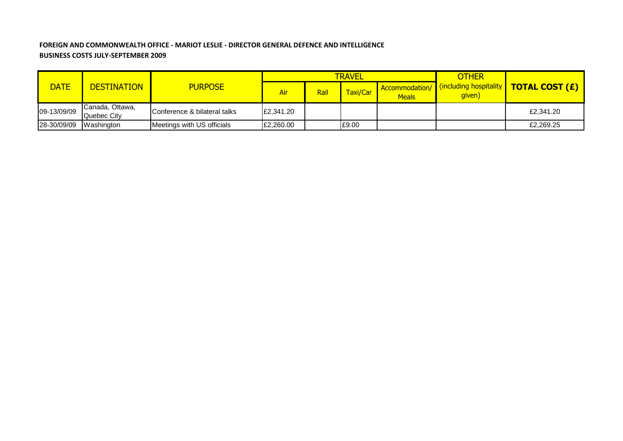### **FOREIGN AND COMMONWEALTH OFFICE - MARIOT LESLIE - DIRECTOR GENERAL DEFENCE AND INTELLIGENCE BUSINESS COSTS JULY-SEPTEMBER 2009**

|             | <b>DESTINATION</b>             |                              |           |      | <b>TRAVEL</b> |                                | <b>OTHER</b>                       |                       |
|-------------|--------------------------------|------------------------------|-----------|------|---------------|--------------------------------|------------------------------------|-----------------------|
| <b>DATE</b> |                                | <b>PURPOSE</b>               | Air       | Rail | Taxi/Car      | Accommodation/<br><b>Meals</b> | (including hospitality  <br>given) | <b>TOTAL COST (£)</b> |
| 09-13/09/09 | Canada, Ottawa,<br>Quebec City | Conference & bilateral talks | £2,341.20 |      |               |                                |                                    | £2,341.20             |
| 28-30/09/09 | Washington                     | Meetings with US officials   | £2,260.00 |      | £9.00         |                                |                                    | £2,269.25             |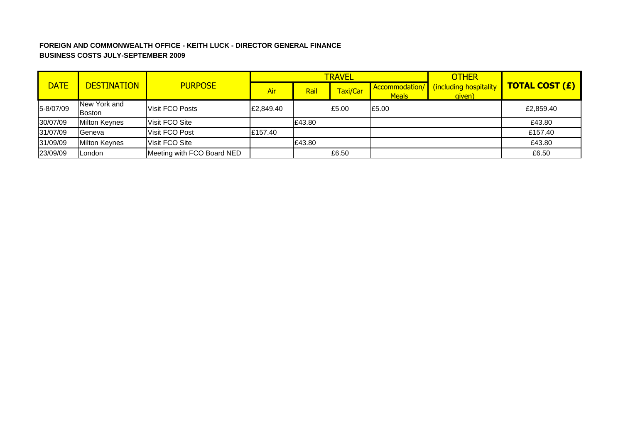## **FOREIGN AND COMMONWEALTH OFFICE - KEITH LUCK - DIRECTOR GENERAL FINANCE BUSINESS COSTS JULY-SEPTEMBER 2009**

|             |                        | <b>PURPOSE</b>             |            |        | <b>TRAVEL</b> |                                       | <b>OTHER</b>                     | <b>TOTAL COST (£)</b> |
|-------------|------------------------|----------------------------|------------|--------|---------------|---------------------------------------|----------------------------------|-----------------------|
| <b>DATE</b> | <b>DESTINATION</b>     |                            | <b>Air</b> | Rail   | Taxi/Car      | <b>Accommodation/</b><br><b>Meals</b> | (including hospitality<br>given) |                       |
| 5-8/07/09   | New York and<br>Boston | Visit FCO Posts            | £2,849.40  |        | £5.00         | £5.00                                 |                                  | £2,859.40             |
| 30/07/09    | <b>Milton Keynes</b>   | Visit FCO Site             |            | £43.80 |               |                                       |                                  | £43.80                |
| 31/07/09    | Geneva                 | Visit FCO Post             | £157.40    |        |               |                                       |                                  | £157.40               |
| 31/09/09    | <b>Milton Keynes</b>   | Visit FCO Site             |            | £43.80 |               |                                       |                                  | £43.80                |
| 23/09/09    | London                 | Meeting with FCO Board NED |            |        | £6.50         |                                       |                                  | £6.50                 |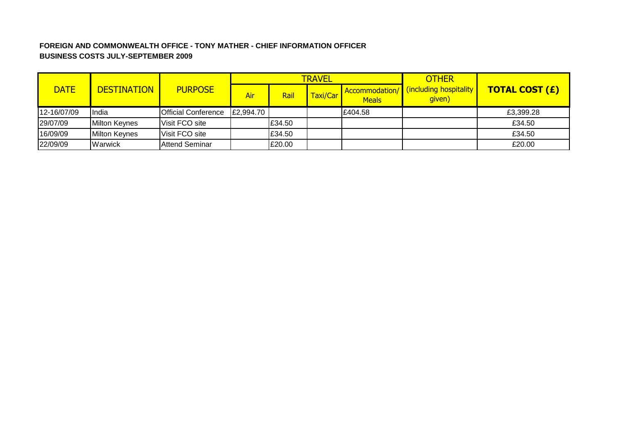# **FOREIGN AND COMMONWEALTH OFFICE - TONY MATHER - CHIEF INFORMATION OFFICER BUSINESS COSTS JULY-SEPTEMBER 2009**

|             | <b>DESTINATION</b>   | <b>PURPOSE</b>             |           |        | <b>TRAVEL</b> |              | <b>OTHER</b>                                           |                       |
|-------------|----------------------|----------------------------|-----------|--------|---------------|--------------|--------------------------------------------------------|-----------------------|
| <b>DATE</b> |                      |                            | Air       | Rail   | Taxi/Car      | <b>Meals</b> | <b>Accommodation/</b> (including hospitality<br>given) | <b>TOTAL COST (£)</b> |
| 12-16/07/09 | IIndia               | <b>Official Conference</b> | £2,994.70 |        |               | E404.58      |                                                        | £3,399.28             |
| 29/07/09    | Milton Keynes        | Visit FCO site             |           | E34.50 |               |              |                                                        | £34.50                |
| 16/09/09    | <b>Milton Keynes</b> | Visit FCO site             |           | £34.50 |               |              |                                                        | £34.50                |
| 22/09/09    | Warwick              | <b>Attend Seminar</b>      |           | £20.00 |               |              |                                                        | £20.00                |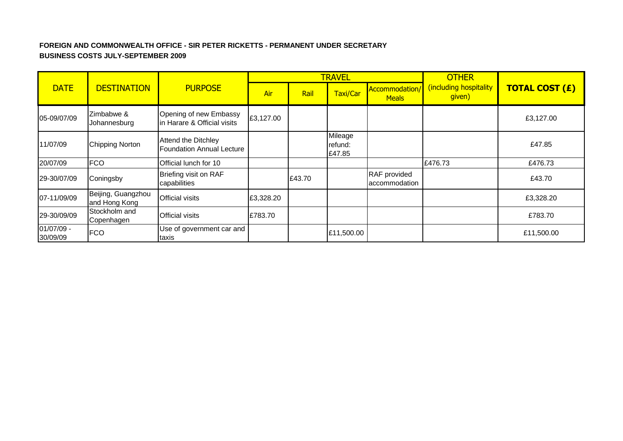## **FOREIGN AND COMMONWEALTH OFFICE - SIR PETER RICKETTS - PERMANENT UNDER SECRETARY BUSINESS COSTS JULY-SEPTEMBER 2009**

|                        |                                     |                                                                |           |        | <b>TRAVEL</b>                |                               | <b>OTHER</b>                     |                       |  |
|------------------------|-------------------------------------|----------------------------------------------------------------|-----------|--------|------------------------------|-------------------------------|----------------------------------|-----------------------|--|
| <b>DATE</b>            | <b>DESTINATION</b>                  | <b>PURPOSE</b>                                                 | Air       | Rail   | Taxi/Car                     | Accommodation<br><b>Meals</b> | (including hospitality<br>given) | <b>TOTAL COST (£)</b> |  |
| 05-09/07/09            | Zimbabwe &<br>Johannesburg          | Opening of new Embassy<br>in Harare & Official visits          | £3,127.00 |        |                              |                               |                                  | £3,127.00             |  |
| 11/07/09               | <b>Chipping Norton</b>              | <b>Attend the Ditchley</b><br><b>Foundation Annual Lecture</b> |           |        | Mileage<br>refund:<br>£47.85 |                               |                                  | £47.85                |  |
| 20/07/09               | <b>FCO</b>                          | Official lunch for 10                                          |           |        |                              |                               | £476.73                          | £476.73               |  |
| 29-30/07/09            | Coningsby                           | Briefing visit on RAF<br>capabilities                          |           | £43.70 |                              | RAF provided<br>accommodation |                                  | £43.70                |  |
| 07-11/09/09            | Beijing, Guangzhou<br>and Hong Kong | <b>Official visits</b>                                         | £3,328.20 |        |                              |                               |                                  | £3,328.20             |  |
| 29-30/09/09            | Stockholm and<br>Copenhagen         | <b>Official visits</b>                                         | £783.70   |        |                              |                               |                                  | £783.70               |  |
| 01/07/09 -<br>30/09/09 | <b>FCO</b>                          | Use of government car and<br>taxis                             |           |        | £11,500.00                   |                               |                                  | £11,500.00            |  |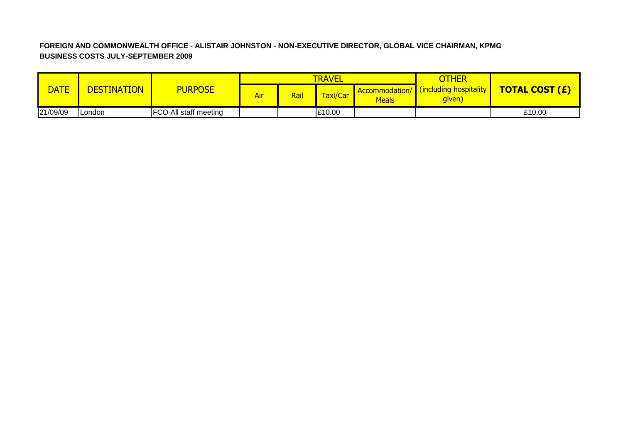# **FOREIGN AND COMMONWEALTH OFFICE - ALISTAIR JOHNSTON - NON-EXECUTIVE DIRECTOR, GLOBAL VICE CHAIRMAN, KPMG BUSINESS COSTS JULY-SEPTEMBER 2009**

|             | <b>DESTINATION</b> |                              |     |      | <b>TRAVEL</b>   |              | OTHER                                                  |                       |
|-------------|--------------------|------------------------------|-----|------|-----------------|--------------|--------------------------------------------------------|-----------------------|
| <b>DATE</b> |                    | <b>PURPOSE</b>               | Air | Rail | <b>Taxi/Car</b> | <b>Meals</b> | <b>Accommodation/</b> (including hospitality<br>given) | <b>TOTAL COST (£)</b> |
| 21/09/09    | <b>IL</b> ondon    | <b>FCO All staff meeting</b> |     |      | £10.00          |              |                                                        | £10.00                |